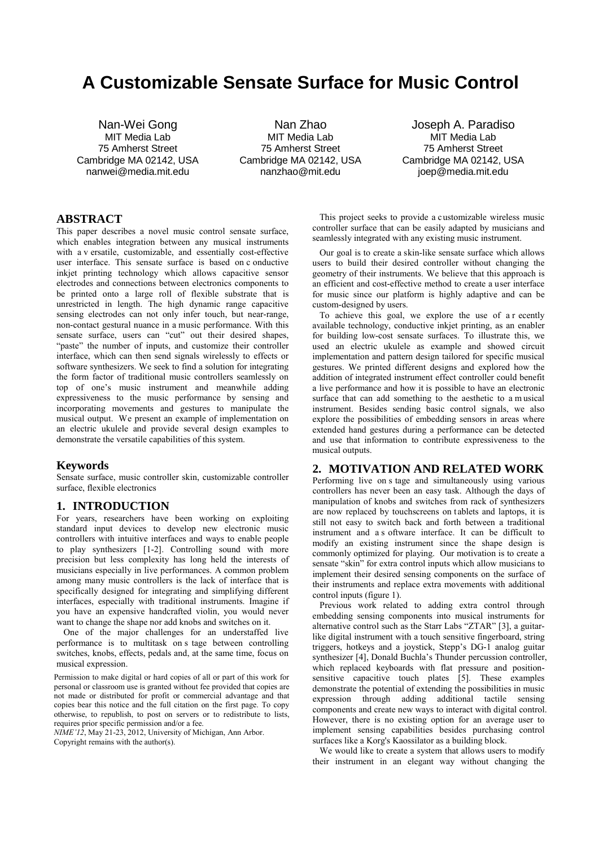# **A Customizable Sensate Surface for Music Control**

Nan-Wei Gong MIT Media Lab 75 Amherst Street Cambridge MA 02142, USA nanwei@media.mit.edu

Nan Zhao MIT Media Lab 75 Amherst Street Cambridge MA 02142, USA nanzhao@mit.edu

Joseph A. Paradiso MIT Media Lab 75 Amherst Street Cambridge MA 02142, USA joep@media.mit.edu

# **ABSTRACT**

This paper describes a novel music control sensate surface, which enables integration between any musical instruments with a v ersatile, customizable, and essentially cost-effective user interface. This sensate surface is based on c onductive inkjet printing technology which allows capacitive sensor electrodes and connections between electronics components to be printed onto a large roll of flexible substrate that is unrestricted in length. The high dynamic range capacitive sensing electrodes can not only infer touch, but near-range, non-contact gestural nuance in a music performance. With this sensate surface, users can "cut" out their desired shapes, "paste" the number of inputs, and customize their controller interface, which can then send signals wirelessly to effects or software synthesizers. We seek to find a solution for integrating the form factor of traditional music controllers seamlessly on top of one's music instrument and meanwhile adding expressiveness to the music performance by sensing and incorporating movements and gestures to manipulate the musical output. We present an example of implementation on an electric ukulele and provide several design examples to demonstrate the versatile capabilities of this system.

## **Keywords**

Sensate surface, music controller skin, customizable controller surface, flexible electronics

# **1. INTRODUCTION**

For years, researchers have been working on exploiting standard input devices to develop new electronic music controllers with intuitive interfaces and ways to enable people to play synthesizers [1-2]. Controlling sound with more precision but less complexity has long held the interests of musicians especially in live performances. A common problem among many music controllers is the lack of interface that is specifically designed for integrating and simplifying different interfaces, especially with traditional instruments. Imagine if you have an expensive handcrafted violin, you would never want to change the shape nor add knobs and switches on it.

One of the major challenges for an understaffed live performance is to multitask on s tage between controlling switches, knobs, effects, pedals and, at the same time, focus on musical expression.

Permission to make digital or hard copies of all or part of this work for personal or classroom use is granted without fee provided that copies are not made or distributed for profit or commercial advantage and that copies bear this notice and the full citation on the first page. To copy otherwise, to republish, to post on servers or to redistribute to lists, requires prior specific permission and/or a fee.

*NIME'12*, May 21-23, 2012, University of Michigan, Ann Arbor. Copyright remains with the author(s).

 This project seeks to provide a customizable wireless music controller surface that can be easily adapted by musicians and seamlessly integrated with any existing music instrument.

Our goal is to create a skin-like sensate surface which allows users to build their desired controller without changing the geometry of their instruments. We believe that this approach is an efficient and cost-effective method to create a user interface for music since our platform is highly adaptive and can be custom-designed by users.

To achieve this goal, we explore the use of a r ecently available technology, conductive inkjet printing, as an enabler for building low-cost sensate surfaces. To illustrate this, we used an electric ukulele as example and showed circuit implementation and pattern design tailored for specific musical gestures. We printed different designs and explored how the addition of integrated instrument effect controller could benefit a live performance and how it is possible to have an electronic surface that can add something to the aesthetic to a musical instrument. Besides sending basic control signals, we also explore the possibilities of embedding sensors in areas where extended hand gestures during a performance can be detected and use that information to contribute expressiveness to the musical outputs.

# **2. MOTIVATION AND RELATED WORK**

Performing live on s tage and simultaneously using various controllers has never been an easy task. Although the days of manipulation of knobs and switches from rack of synthesizers are now replaced by touchscreens on tablets and laptops, it is still not easy to switch back and forth between a traditional instrument and a s oftware interface. It can be difficult to modify an existing instrument since the shape design is commonly optimized for playing. Our motivation is to create a sensate "skin" for extra control inputs which allow musicians to implement their desired sensing components on the surface of their instruments and replace extra movements with additional control inputs (figure 1).

Previous work related to adding extra control through embedding sensing components into musical instruments for alternative control such as the Starr Labs "ZTAR" [3], a guitarlike digital instrument with a touch sensitive fingerboard, string triggers, hotkeys and a joystick, Stepp's DG-1 analog guitar synthesizer [4], Donald Buchla's Thunder percussion controller, which replaced keyboards with flat pressure and positionsensitive capacitive touch plates [5]. These examples demonstrate the potential of extending the possibilities in music expression through adding additional tactile sensing components and create new ways to interact with digital control. However, there is no existing option for an average user to implement sensing capabilities besides purchasing control surfaces like a Korg's Kaossilator as a building block.

We would like to create a system that allows users to modify their instrument in an elegant way without changing the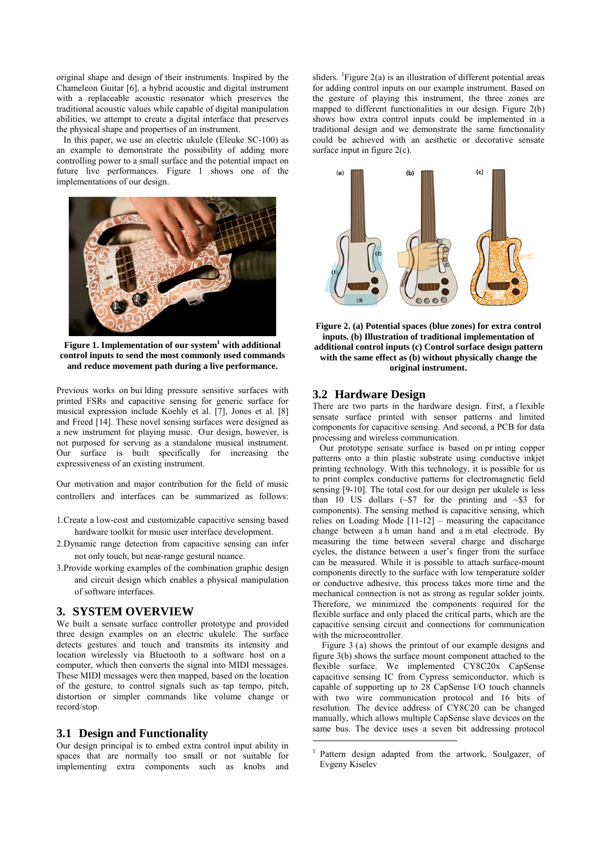original shape and design of their instruments. Inspired by the Chameleon Guitar [6], a hybrid acoustic and digital instrument with a replaceable acoustic resonator which preserves the traditional acoustic values while capable of digital manipulation abilities, we attempt to create a digital interface that preserves the physical shape and properties of an instrument.

In this paper, we use an electric ukulele (Eleuke SC-100) as an example to demonstrate the possibility of adding more controlling power to a small surface and the potential impact on future live performances. Figure 1 shows one of the implementations of our design.



**Figure 1. Implementation of our system<sup>1</sup> with additional control inputs to send the most commonly used commands and reduce movement path during a live performance.** 

Previous works on bui lding pressure sensitive surfaces with printed FSRs and capacitive sensing for generic surface for musical expression include Koehly et al. [7], Jones et al. [8] and Freed [14]. These novel sensing surfaces were designed as a new instrument for playing music. Our design, however, is not purposed for serving as a standalone musical instrument. Our surface is built specifically for increasing the expressiveness of an existing instrument.

Our motivation and major contribution for the field of music controllers and interfaces can be summarized as follows:

- 1.Create a low-cost and customizable capacitive sensing based hardware toolkit for music user interface development.
- 2.Dynamic range detection from capacitive sensing can infer not only touch, but near-range gestural nuance.
- 3.Provide working examples of the combination graphic design and circuit design which enables a physical manipulation of software interfaces.

## **3. SYSTEM OVERVIEW**

We built a sensate surface controller prototype and provided three design examples on an electric ukulele. The surface detects gestures and touch and transmits its intensity and location wirelessly via Bluetooth to a software host on a computer, which then converts the signal into MIDI messages. These MIDI messages were then mapped, based on the location of the gesture, to control signals such as tap tempo, pitch, distortion or simpler commands like volume change or record/stop.

## **3.1 Design and Functionality**

<span id="page-1-0"></span>Our design principal is to embed extra control input ability in spaces that are normally too small or not suitable for implementing extra components such as knobs and

sliders. <sup>[1](#page-1-0)</sup>Figure 2(a) is an illustration of different potential areas for adding control inputs on our example instrument. Based on the gesture of playing this instrument, the three zones are mapped to different functionalities in our design. Figure 2(b) shows how extra control inputs could be implemented in a traditional design and we demonstrate the same functionality could be achieved with an aesthetic or decorative sensate surface input in figure 2(c).



**Figure 2. (a) Potential spaces (blue zones) for extra control inputs. (b) Illustration of traditional implementation of additional control inputs (c) Control surface design pattern with the same effect as (b) without physically change the original instrument.**

#### **3.2 Hardware Design**

There are two parts in the hardware design. First, a f lexible sensate surface printed with sensor patterns and limited components for capacitive sensing. And second, a PCB for data processing and wireless communication.

Our prototype sensate surface is based on pr inting copper patterns onto a thin plastic substrate using conductive inkjet printing technology. With this technology, it is possible for us to print complex conductive patterns for electromagnetic field sensing [9-10]. The total cost for our design per ukulele is less than 10 US dollars  $({\sim} $7$  for the printing and  ${\sim} $3$  for components). The sensing method is capacitive sensing, which relies on Loading Mode [11-12] – measuring the capacitance change between a h uman hand and a m etal electrode. By measuring the time between several charge and discharge cycles, the distance between a user's finger from the surface can be measured. While it is possible to attach surface-mount components directly to the surface with low temperature solder or conductive adhesive, this process takes more time and the mechanical connection is not as strong as regular solder joints. Therefore, we minimized the components required for the flexible surface and only placed the critical parts, which are the capacitive sensing circuit and connections for communication with the microcontroller.

 Figure 3 (a) shows the printout of our example designs and figure 3(b) shows the surface mount component attached to the flexible surface. We implemented CY8C20x CapSense capacitive sensing IC from Cypress semiconductor, which is capable of supporting up to 28 CapSense I/O touch channels with two wire communication protocol and 16 bits of resolution. The device address of CY8C20 can be changed manually, which allows multiple CapSense slave devices on the same bus. The device uses a seven bit addressing protocol

1

<sup>&</sup>lt;sup>1</sup> Pattern design adapted from the artwork, Soulgazer, of Evgeny Kiselev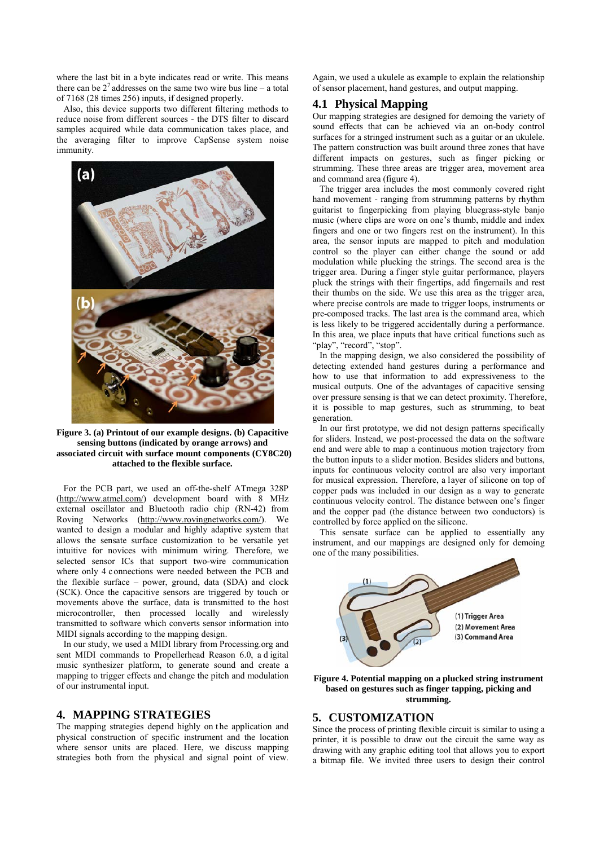where the last bit in a byte indicates read or write. This means there can be  $2<sup>7</sup>$  addresses on the same two wire bus line – a total of 7168 (28 times 256) inputs, if designed properly.

Also, this device supports two different filtering methods to reduce noise from different sources - the DTS filter to discard samples acquired while data communication takes place, and the averaging filter to improve CapSense system noise immunity.



**Figure 3. (a) Printout of our example designs. (b) Capacitive sensing buttons (indicated by orange arrows) and associated circuit with surface mount components (CY8C20) attached to the flexible surface.**

For the PCB part, we used an off-the-shelf ATmega 328P [\(http://www.atmel.com/\)](http://www.atmel.com/) development board with 8 MHz external oscillator and Bluetooth radio chip (RN-42) from Roving Networks [\(http://www.rovingnetworks.com/\)](http://www.rovingnetworks.com/). We wanted to design a modular and highly adaptive system that allows the sensate surface customization to be versatile yet intuitive for novices with minimum wiring. Therefore, we selected sensor ICs that support two-wire communication where only 4 connections were needed between the PCB and the flexible surface – power, ground, data (SDA) and clock (SCK). Once the capacitive sensors are triggered by touch or movements above the surface, data is transmitted to the host microcontroller, then processed locally and wirelessly transmitted to software which converts sensor information into MIDI signals according to the mapping design.

In our study, we used a MIDI library from Processing.org and sent MIDI commands to Propellerhead Reason 6.0, a d igital music synthesizer platform, to generate sound and create a mapping to trigger effects and change the pitch and modulation of our instrumental input.

# **4. MAPPING STRATEGIES**

The mapping strategies depend highly on the application and physical construction of specific instrument and the location where sensor units are placed. Here, we discuss mapping strategies both from the physical and signal point of view.

Again, we used a ukulele as example to explain the relationship of sensor placement, hand gestures, and output mapping.

## **4.1 Physical Mapping**

Our mapping strategies are designed for demoing the variety of sound effects that can be achieved via an on-body control surfaces for a stringed instrument such as a guitar or an ukulele. The pattern construction was built around three zones that have different impacts on gestures, such as finger picking or strumming. These three areas are trigger area, movement area and command area (figure 4).

The trigger area includes the most commonly covered right hand movement - ranging from strumming patterns by rhythm guitarist to fingerpicking from playing bluegrass-style banjo music (where clips are wore on one's thumb, middle and index fingers and one or two fingers rest on the instrument). In this area, the sensor inputs are mapped to pitch and modulation control so the player can either change the sound or add modulation while plucking the strings. The second area is the trigger area. During a finger style guitar performance, players pluck the strings with their fingertips, add fingernails and rest their thumbs on the side. We use this area as the trigger area, where precise controls are made to trigger loops, instruments or pre-composed tracks. The last area is the command area, which is less likely to be triggered accidentally during a performance. In this area, we place inputs that have critical functions such as "play", "record", "stop".

In the mapping design, we also considered the possibility of detecting extended hand gestures during a performance and how to use that information to add expressiveness to the musical outputs. One of the advantages of capacitive sensing over pressure sensing is that we can detect proximity. Therefore, it is possible to map gestures, such as strumming, to beat generation.

 In our first prototype, we did not design patterns specifically for sliders. Instead, we post-processed the data on the software end and were able to map a continuous motion trajectory from the button inputs to a slider motion. Besides sliders and buttons, inputs for continuous velocity control are also very important for musical expression. Therefore, a layer of silicone on top of copper pads was included in our design as a way to generate continuous velocity control. The distance between one's finger and the copper pad (the distance between two conductors) is controlled by force applied on the silicone.

 This sensate surface can be applied to essentially any instrument, and our mappings are designed only for demoing one of the many possibilities.



**Figure 4. Potential mapping on a plucked string instrument based on gestures such as finger tapping, picking and strumming.** 

## **5. CUSTOMIZATION**

Since the process of printing flexible circuit is similar to using a printer, it is possible to draw out the circuit the same way as drawing with any graphic editing tool that allows you to export a bitmap file. We invited three users to design their control